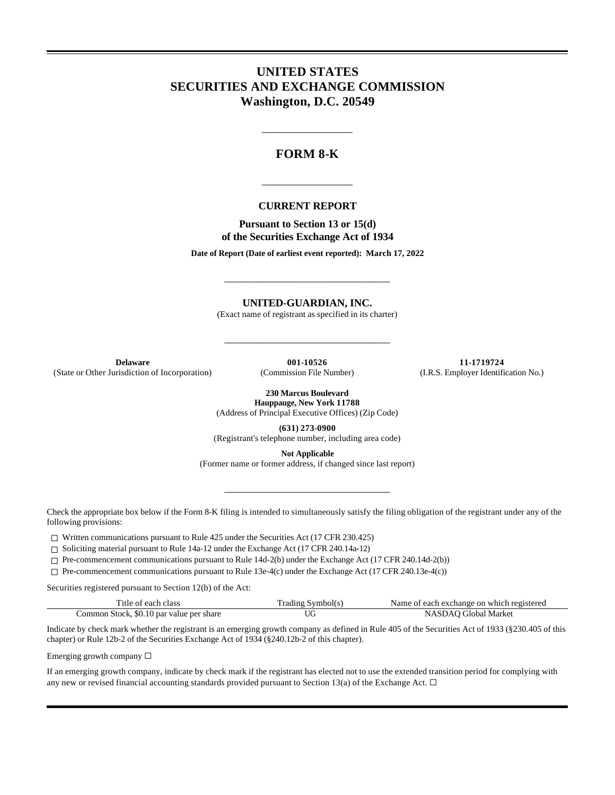# **UNITED STATES SECURITIES AND EXCHANGE COMMISSION Washington, D.C. 20549**

## **FORM 8-K**

\_\_\_\_\_\_\_\_\_\_\_\_\_\_\_\_\_

### **CURRENT REPORT**

\_\_\_\_\_\_\_\_\_\_\_\_\_\_\_\_\_

**Pursuant to Section 13 or 15(d) of the Securities Exchange Act of 1934**

**Date of Report (Date of earliest event reported): March 17, 2022**

\_\_\_\_\_\_\_\_\_\_\_\_\_\_\_\_\_\_\_\_\_\_\_\_\_\_\_\_\_\_\_

**UNITED-GUARDIAN, INC.**

(Exact name of registrant as specified in its charter)

\_\_\_\_\_\_\_\_\_\_\_\_\_\_\_\_\_\_\_\_\_\_\_\_\_\_\_\_\_\_\_

(State or Other Jurisdiction of Incorporation)

**Delaware 001-10526 11-1719724 11-1719724 11-1719724 11-1719724 11-1719724 11-1719724 11-1719724 11-1719724 11-1719724 11-1719724 11-1719724 11-1719724 11-1719724 11-1719724 11-1719724 11-**

**230 Marcus Boulevard Hauppauge, New York 11788**

(Address of Principal Executive Offices) (Zip Code)

**(631) 273-0900** (Registrant's telephone number, including area code)

**Not Applicable**

\_\_\_\_\_\_\_\_\_\_\_\_\_\_\_\_\_\_\_\_\_\_\_\_\_\_\_\_\_\_\_

(Former name or former address, if changed since last report)

Check the appropriate box below if the Form 8-K filing is intended to simultaneously satisfy the filing obligation of the registrant under any of the following provisions:

 $\Box$  Written communications pursuant to Rule 425 under the Securities Act (17 CFR 230.425)

☐ Soliciting material pursuant to Rule 14a-12 under the Exchange Act (17 CFR 240.14a-12)

☐ Pre-commencement communications pursuant to Rule 14d-2(b) under the Exchange Act (17 CFR 240.14d-2(b))

☐ Pre-commencement communications pursuant to Rule 13e-4(c) under the Exchange Act (17 CFR 240.13e-4(c))

Securities registered pursuant to Section 12(b) of the Act:

| Title of each class                      | Trading Symbol(s) | Name of each exchange on which registered |
|------------------------------------------|-------------------|-------------------------------------------|
| Common Stock, \$0.10 par value per share |                   | NASDAO Global Market                      |

Indicate by check mark whether the registrant is an emerging growth company as defined in Rule 405 of the Securities Act of 1933 (§230.405 of this chapter) or Rule 12b-2 of the Securities Exchange Act of 1934 (§240.12b-2 of this chapter).

Emerging growth company  $\Box$ 

If an emerging growth company, indicate by check mark if the registrant has elected not to use the extended transition period for complying with any new or revised financial accounting standards provided pursuant to Section 13(a) of the Exchange Act.  $\Box$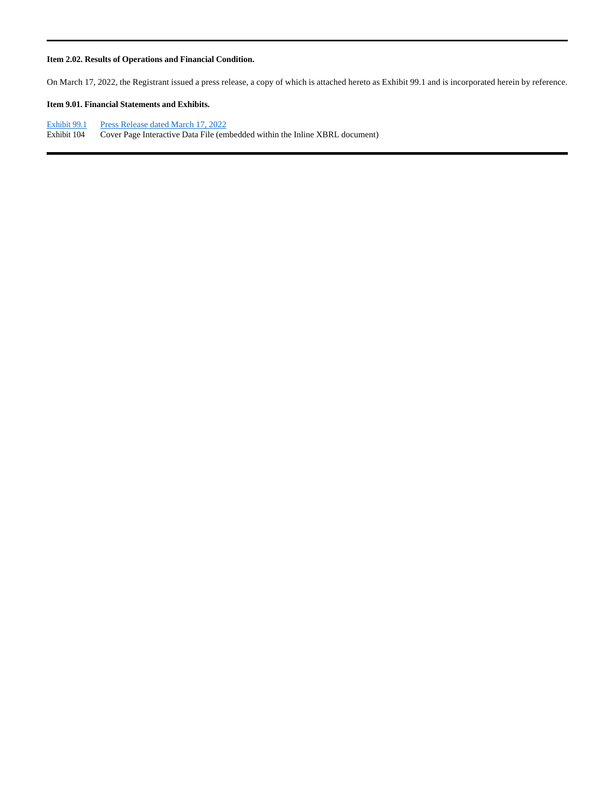#### **Item 2.02. Results of Operations and Financial Condition.**

On March 17, 2022, the Registrant issued a press release, a copy of which is attached hereto as Exhibit 99.1 and is incorporated herein by reference.

### **Item 9.01. Financial Statements and Exhibits.**

Exhibit 99.1 Press Release dated March 17, 2022<br>Exhibit 104 Cover Page Interactive Data File (em Cover Page Interactive Data File (embedded within the Inline XBRL document)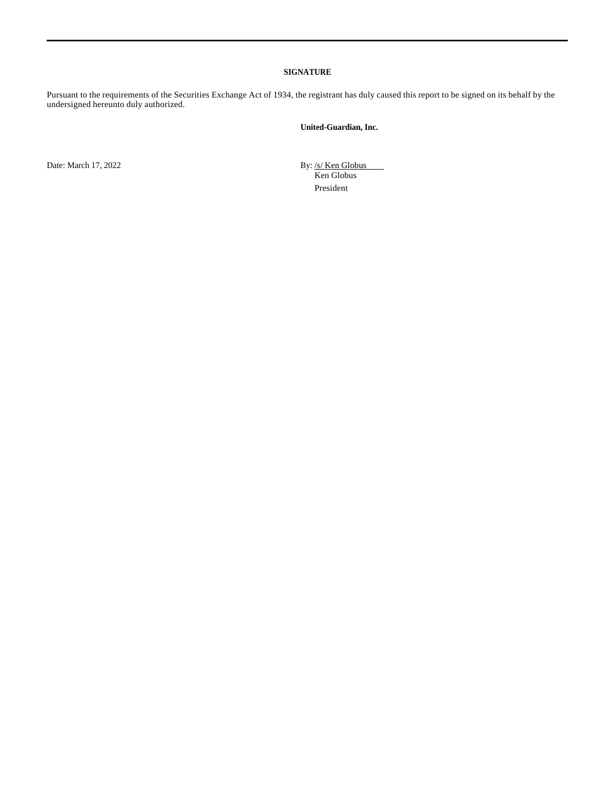#### **SIGNATURE**

Pursuant to the requirements of the Securities Exchange Act of 1934, the registrant has duly caused this report to be signed on its behalf by the undersigned hereunto duly authorized.

### **United-Guardian, Inc.**

Date: March 17, 2022 By: /s/ Ken Globus

Ken Globus President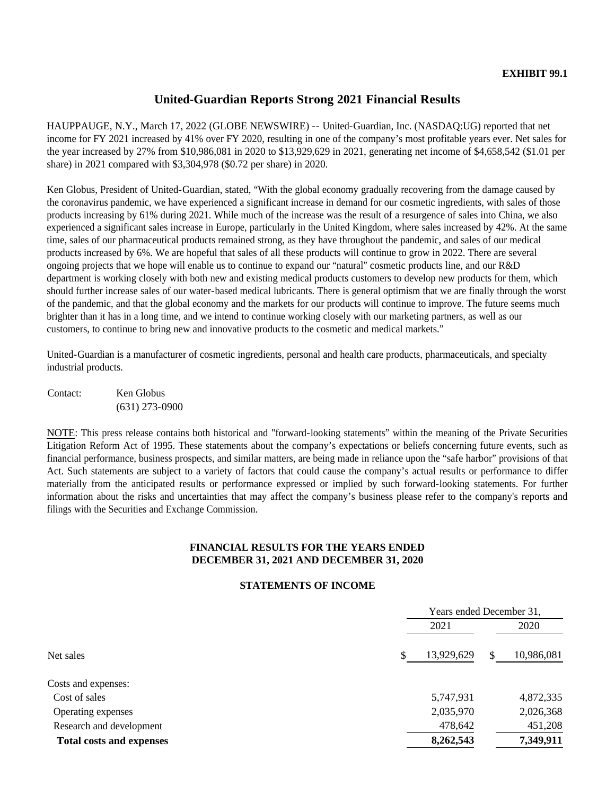# **United-Guardian Reports Strong 2021 Financial Results**

HAUPPAUGE, N.Y., March 17, 2022 (GLOBE NEWSWIRE) -- United-Guardian, Inc. (NASDAQ:UG) reported that net income for FY 2021 increased by 41% over FY 2020, resulting in one of the company's most profitable years ever. Net sales for the year increased by 27% from \$10,986,081 in 2020 to \$13,929,629 in 2021, generating net income of \$4,658,542 (\$1.01 per share) in 2021 compared with \$3,304,978 (\$0.72 per share) in 2020.

Ken Globus, President of United-Guardian, stated, "With the global economy gradually recovering from the damage caused by the coronavirus pandemic, we have experienced a significant increase in demand for our cosmetic ingredients, with sales of those products increasing by 61% during 2021. While much of the increase was the result of a resurgence of sales into China, we also experienced a significant sales increase in Europe, particularly in the United Kingdom, where sales increased by 42%. At the same time, sales of our pharmaceutical products remained strong, as they have throughout the pandemic, and sales of our medical products increased by 6%. We are hopeful that sales of all these products will continue to grow in 2022. There are several ongoing projects that we hope will enable us to continue to expand our "natural" cosmetic products line, and our R&D department is working closely with both new and existing medical products customers to develop new products for them, which should further increase sales of our water-based medical lubricants. There is general optimism that we are finally through the worst of the pandemic, and that the global economy and the markets for our products will continue to improve. The future seems much brighter than it has in a long time, and we intend to continue working closely with our marketing partners, as well as our customers, to continue to bring new and innovative products to the cosmetic and medical markets."

United-Guardian is a manufacturer of cosmetic ingredients, personal and health care products, pharmaceuticals, and specialty industrial products.

Contact: Ken Globus (631) 273-0900

NOTE: This press release contains both historical and "forward-looking statements" within the meaning of the Private Securities Litigation Reform Act of 1995. These statements about the company's expectations or beliefs concerning future events, such as financial performance, business prospects, and similar matters, are being made in reliance upon the "safe harbor" provisions of that Act. Such statements are subject to a variety of factors that could cause the company's actual results or performance to differ materially from the anticipated results or performance expressed or implied by such forward-looking statements. For further information about the risks and uncertainties that may affect the company's business please refer to the company's reports and filings with the Securities and Exchange Commission.

## **FINANCIAL RESULTS FOR THE YEARS ENDED DECEMBER 31, 2021 AND DECEMBER 31, 2020**

## **STATEMENTS OF INCOME**

|                                 | Years ended December 31, |    |            |  |
|---------------------------------|--------------------------|----|------------|--|
|                                 | 2021                     |    | 2020       |  |
| Net sales                       | \$<br>13,929,629         | \$ | 10,986,081 |  |
| Costs and expenses:             |                          |    |            |  |
| Cost of sales                   | 5,747,931                |    | 4,872,335  |  |
| Operating expenses              | 2,035,970                |    | 2,026,368  |  |
| Research and development        | 478,642                  |    | 451,208    |  |
| <b>Total costs and expenses</b> | 8,262,543                |    | 7,349,911  |  |
|                                 |                          |    |            |  |